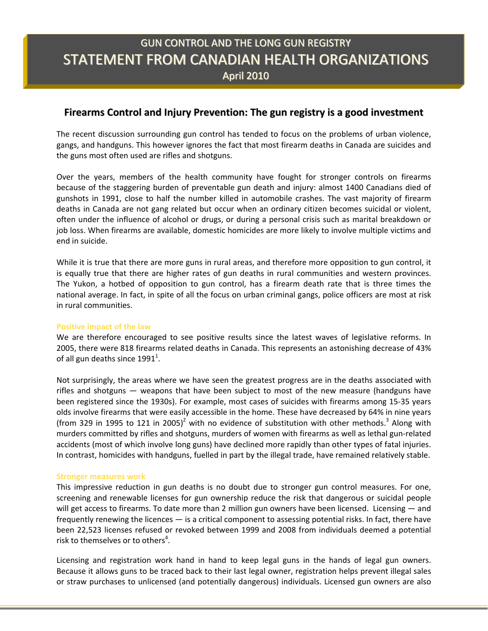# GUN CONTROL AND THE LONG GUN REGISTRY STATEMENT FROM CANADIAN HEALTH ORGANIZATIONS April 2010

# **Firearms Control and Injury Prevention: The gun registry is a good investment**

The recent discussion surrounding gun control has tended to focus on the problems of urban violence, gangs, and handguns. This however ignores the fact that most firearm deaths in Canada are suicides and the guns most often used are rifles and shotguns.

Over the years, members of the health community have fought for stronger controls on firearms because of the staggering burden of preventable gun death and injury: almost 1400 Canadians died of gunshots in 1991, close to half the number killed in automobile crashes. The vast majority of firearm deaths in Canada are not gang related but occur when an ordinary citizen becomes suicidal or violent, often under the influence of alcohol or drugs, or during a personal crisis such as marital breakdown or job loss. When firearms are available, domestic homicides are more likely to involve multiple victims and end in suicide.

While it is true that there are more guns in rural areas, and therefore more opposition to gun control, it is equally true that there are higher rates of gun deaths in rural communities and western provinces. The Yukon, a hotbed of opposition to gun control, has a firearm death rate that is three times the national average. In fact, in spite of all the focus on urban criminal gangs, police officers are most at risk in rural communities.

# **Positive impact of the law**

We are therefore encouraged to see positive results since the latest waves of legislative reforms. In 2005, there were 818 firearms related deaths in Canada. This represents an astonishing decrease of 43% of all gun deaths since 1991<sup>1</sup>.

Not surprisingly, the areas where we have seen the greatest progress are in the deaths associated with rifles and shotguns  $-$  weapons that have been subject to most of the new measure (handguns have been registered since the 1930s). For example, most cases of suicides with firearms among 15-35 years olds involve firearms that were easily accessible in the home. These have decreased by 64% in nine years (from 329 in 1995 to 121 in 2005)<sup>2</sup> with no evidence of substitution with other methods.<sup>3</sup> Along with murders committed by rifles and shotguns, murders of women with firearms as well as lethal gun-related accidents (most of which involve long guns) have declined more rapidly than other types of fatal injuries. In contrast, homicides with handguns, fuelled in part by the illegal trade, have remained relatively stable.

#### **Stronger measures work**

This impressive reduction in gun deaths is no doubt due to stronger gun control measures. For one, screening and renewable licenses for gun ownership reduce the risk that dangerous or suicidal people will get access to firearms. To date more than 2 million gun owners have been licensed. Licensing  $-$  and frequently renewing the licences  $-$  is a critical component to assessing potential risks. In fact, there have been 22,523 licenses refused or revoked between 1999 and 2008 from individuals deemed a potential risk to themselves or to others<sup>4</sup>.

Licensing and registration work hand in hand to keep legal guns in the hands of legal gun owners. Because it allows guns to be traced back to their last legal owner, registration helps prevent illegal sales or straw purchases to unlicensed (and potentially dangerous) individuals. Licensed gun owners are also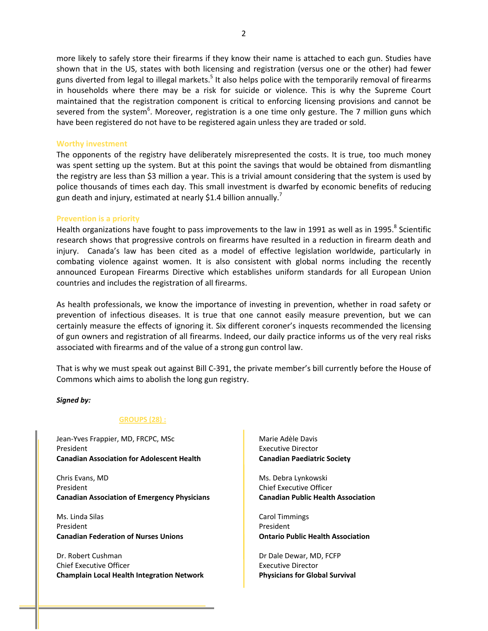more likely to safely store their firearms if they know their name is attached to each gun. Studies have shown that in the US, states with both licensing and registration (versus one or the other) had fewer guns diverted from legal to illegal markets.<sup>5</sup> It also helps police with the temporarily removal of firearms in households where there may be a risk for suicide or violence. This is why the Supreme Court maintained that the registration component is critical to enforcing licensing provisions and cannot be severed from the system<sup>6</sup>. Moreover, registration is a one time only gesture. The 7 million guns which have been registered do not have to be registered again unless they are traded or sold.

#### **Worthy investment**

The opponents of the registry have deliberately misrepresented the costs. It is true, too much money was spent setting up the system. But at this point the savings that would be obtained from dismantling the registry are less than \$3 million a year. This is a trivial amount considering that the system is used by police thousands of times each day. This small investment is dwarfed by economic benefits of reducing gun death and injury, estimated at nearly \$1.4 billion annually.<sup>7</sup>

#### **Prevention is a priority**

Health organizations have fought to pass improvements to the law in 1991 as well as in 1995.<sup>8</sup> Scientific research shows that progressive controls on firearms have resulted in a reduction in firearm death and injury. Canada's law has been cited as a model of effective legislation worldwide, particularly in combating violence against women. It is also consistent with global norms including the recently announced European Firearms Directive which establishes uniform standards for all European Union countries and includes the registration of all firearms.

As health professionals, we know the importance of investing in prevention, whether in road safety or prevention of infectious diseases. It is true that one cannot easily measure prevention, but we can certainly measure the effects of ignoring it. Six different coroner's inquests recommended the licensing of gun owners and registration of all firearms. Indeed, our daily practice informs us of the very real risks associated with firearms and of the value of a strong gun control law.

That is why we must speak out against Bill C-391, the private member's bill currently before the House of Commons which aims to abolish the long gun registry.

#### *Signed by:*

#### **GROUPS (28) :**

Jean-Yves Frappier, MD, FRCPC, MSc President **Canadian Association for Adolescent Health**

Chris Evans, MD President **Canadian Association of Emergency Physicians**

Ms. Linda Silas President **Canadian Federation of Nurses Unions**

Dr. Robert Cushman Chief Executive Officer **Champlain Local Health Integration Network** Marie Adèle Davis Executive Director **Canadian Paediatric Society**

Ms. Debra Lynkowski Chief Executive Officer **Canadian Public Health Association**

Carol Timmings President **Ontario Public Health Association**

Dr Dale Dewar, MD, FCFP Executive Director **Physicians for Global Survival**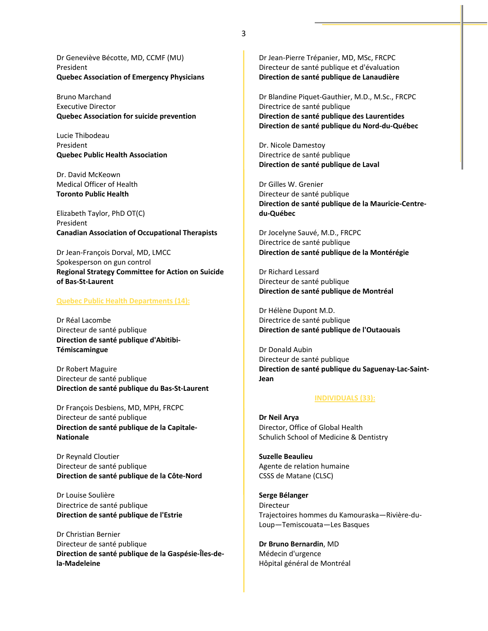Dr Geneviève Bécotte, MD, CCMF (MU) President **Quebec Association of Emergency Physicians**

Bruno Marchand Executive Director **Quebec Association for suicide prevention**

Lucie Thibodeau President **Quebec Public Health Association**

Dr. David McKeown Medical Officer of Health **Toronto Public Health**

Elizabeth Taylor, PhD OT(C) President **Canadian Association of Occupational Therapists**

Dr Jean-François Dorval, MD, LMCC Spokesperson on gun control **Regional Strategy Committee for Action on Suicide**  $of$  **Bas-St-Laurent** 

#### **Quebec Public Health Departments (14):**

Dr Réal Lacombe Directeur de santé publique  $Direction de santé publique d'Abitibi-$ **Témiscamingue**

Dr Robert Maguire Directeur de santé publique  $Direction$  **de** santé  $public$  **publique du** Bas-St-Laurent

Dr François Desbiens, MD, MPH, FRCPC Directeur de santé publique **Direction de santé publique de la Capitale-Nationale**

Dr Reynald Cloutier Directeur de santé publique **Direction de santé publique de la CôteͲNord**

Dr Louise Soulière Directrice de santé publique **Direction de santé publique de l'Estrie**

Dr Christian Bernier Directeur de santé publique  $Direction$  **de** santé publique de la Gaspésie-Îles-de**laMadeleine** 

Dr Jean-Pierre Trépanier, MD, MSc, FRCPC Directeur de santé publique et d'évaluation **Direction de santé publique de Lanaudière**

Dr Blandine Piquet-Gauthier, M.D., M.Sc., FRCPC Directrice de santé publique **Direction de santé publique des Laurentides**  $Direction$  **de** santé *publique* du Nord-du-Québec

Dr. Nicole Damestoy Directrice de santé publique **Direction de santé publique de Laval**

Dr Gilles W. Grenier Directeur de santé publique **Direction de santé publique de la Mauricie-CentreduͲQuébec**

Dr Jocelyne Sauvé, M.D., FRCPC Directrice de santé publique **Direction de santé publique de la Montérégie**

Dr Richard Lessard Directeur de santé publique **Direction de santé publique de Montréal**

Dr Hélène Dupont M.D. Directrice de santé publique **Direction de santé publique de l'Outaouais**

Dr Donald Aubin Directeur de santé publique  $Dirichlet$ **Direction**  $de$  **santé**  $p$ **ublique**  $du$  **Saguenay-Lac-Saint-Jean**

#### **INDIVIDUALS (33):**

**Dr Neil Arya** Director, Office of Global Health Schulich School of Medicine & Dentistry

**Suzelle Beaulieu** Agente de relation humaine CSSS de Matane (CLSC)

**Serge Bélanger** Directeur Trajectoires hommes du Kamouraska-Rivière-du-Loup-Temiscouata-Les Basques

**Dr Bruno Bernardin**, MD Médecin d'urgence Hôpital général de Montréal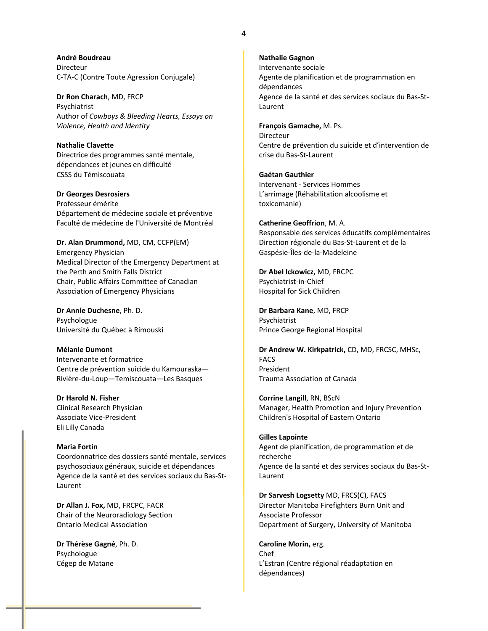**André Boudreau** Directeur C-TA-C (Contre Toute Agression Conjugale)

**Dr Ron Charach**, MD, FRCP Psychiatrist Author of *Cowboys & Bleeding Hearts, Essays on Violence, Health and Identity*

**Nathalie Clavette** Directrice des programmes santé mentale, dépendances et jeunes en difficulté CSSS du Témiscouata

#### **Dr Georges Desrosiers** Professeur émérite Département de médecine sociale et préventive Faculté de médecine de l'Université de Montréal

**Dr. Alan Drummond,** MD, CM, CCFP(EM) Emergency Physician Medical Director of the Emergency Department at the Perth and Smith Falls District Chair, Public Affairs Committee of Canadian Association of Emergency Physicians

**Dr Annie Duchesne**, Ph. D. Psychologue Université du Québec à Rimouski

### **Mélanie Dumont** Intervenante et formatrice Centre de prévention suicide du Kamouraska-Rivière-du-Loup-Temiscouata-Les Basques

**Dr Harold N. Fisher** Clinical Research Physician Associate Vice-President Eli Lilly Canada

# **Maria Fortin**

Coordonnatrice des dossiers santé mentale, services psychosociaux généraux, suicide et dépendances Agence de la santé et des services sociaux du Bas-St-Laurent

**Dr Allan J. Fox,** MD, FRCPC, FACR Chair of the Neuroradiology Section Ontario Medical Association

**Dr Thérèse Gagné**, Ph. D. Psychologue Cégep de Matane

#### **Nathalie Gagnon**

Intervenante sociale Agente de planification et de programmation en dépendances Agence de la santé et des services sociaux du Bas-St-Laurent

#### **François Gamache,** M. Ps.

Directeur Centre de prévention du suicide et d'intervention de crise du Bas-St-Laurent

**Gaétan Gauthier** Intervenant - Services Hommes L'arrimage (Réhabilitation alcoolisme et toxicomanie)

#### **Catherine Geoffrion**, M. A.

Responsable des services éducatifs complémentaires Direction régionale du Bas-St-Laurent et de la Gaspésie-Îles-de-la-Madeleine

**Dr Abel Ickowicz,** MD, FRCPC Psychiatrist-in-Chief Hospital for Sick Children

**Dr Barbara Kane**, MD, FRCP Psychiatrist Prince George Regional Hospital

**Dr Andrew W. Kirkpatrick,** CD, MD, FRCSC, MHSc, FACS President Trauma Association of Canada

**Corrine Langill**, RN, BScN Manager, Health Promotion and Injury Prevention Children's Hospital of Eastern Ontario

#### **Gilles Lapointe**

Agent de planification, de programmation et de recherche Agence de la santé et des services sociaux du Bas-St-Laurent

**Dr Sarvesh Logsetty** MD, FRCS(C), FACS Director Manitoba Firefighters Burn Unit and Associate Professor Department of Surgery, University of Manitoba

**Caroline Morin,** erg. Chef L'Estran (Centre régional réadaptation en dépendances)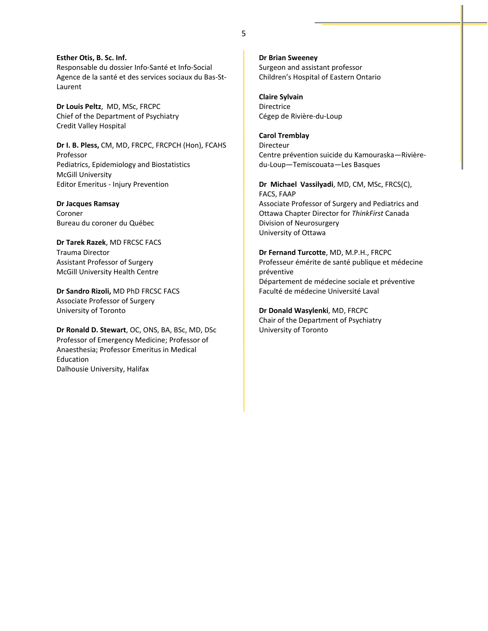**Esther Otis, B. Sc. Inf.** Responsable du dossier Info-Santé et Info-Social Agence de la santé et des services sociaux du Bas-St-Laurent

**Dr Louis Peltz, MD, MSc, FRCPC** Chief of the Department of Psychiatry Credit Valley Hospital

**Dr I. B. Pless,** CM, MD, FRCPC, FRCPCH (Hon), FCAHS Professor Pediatrics, Epidemiology and Biostatistics McGill University Editor Emeritus - Injury Prevention

**Dr Jacques Ramsay** Coroner Bureau du coroner du Québec

**Dr Tarek Razek**, MD FRCSC FACS Trauma Director Assistant Professor of Surgery McGill University Health Centre

**Dr Sandro Rizoli,** MD PhD FRCSC FACS Associate Professor of Surgery University of Toronto

**Dr Ronald D. Stewart**, OC, ONS, BA, BSc, MD, DSc Professor of Emergency Medicine; Professor of Anaesthesia; Professor Emeritus in Medical Education Dalhousie University, Halifax

**Dr Brian Sweeney** Surgeon and assistant professor Children's Hospital of Eastern Ontario

**Claire Sylvain** Directrice Cégep de Rivière-du-Loup

**Carol Tremblay** Directeur Centre prévention suicide du Kamouraska-Rivièredu-Loup-Temiscouata-Les Basques

**DrMichaelVassilyadi**, MD, CM, MSc, FRCS(C), FACS, FAAP Associate Professor of Surgery and Pediatrics and Ottawa Chapter Director for *ThinkFirst* Canada Division of Neurosurgery University of Ottawa

**Dr Fernand Turcotte**, MD, M.P.H., FRCPC Professeur émérite de santé publique et médecine préventive Département de médecine sociale et préventive Faculté de médecine Université Laval

**Dr Donald Wasylenki**, MD, FRCPC Chair of the Department of Psychiatry University of Toronto